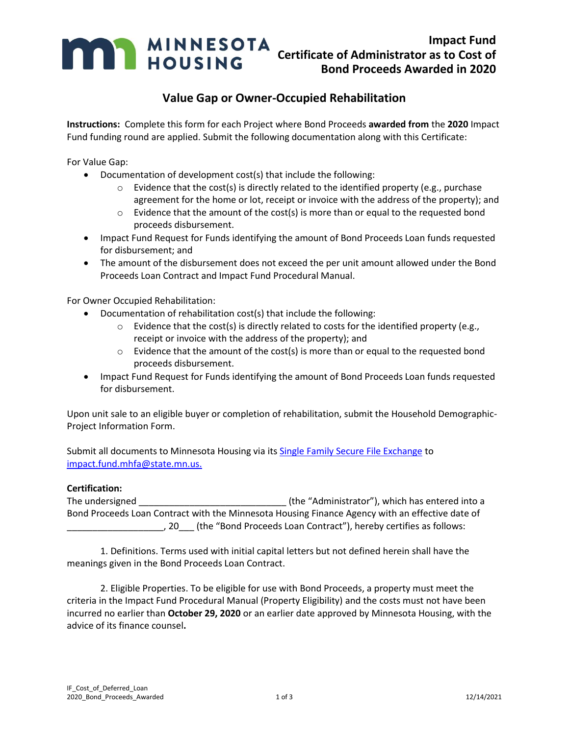

## **Value Gap or Owner-Occupied Rehabilitation**

**Instructions:** Complete this form for each Project where Bond Proceeds **awarded from** the **2020** Impact Fund funding round are applied. Submit the following documentation along with this Certificate:

For Value Gap:

- Documentation of development cost(s) that include the following:
	- $\circ$  Evidence that the cost(s) is directly related to the identified property (e.g., purchase agreement for the home or lot, receipt or invoice with the address of the property); and
	- $\circ$  Evidence that the amount of the cost(s) is more than or equal to the requested bond proceeds disbursement.
- Impact Fund Request for Funds identifying the amount of Bond Proceeds Loan funds requested for disbursement; and
- The amount of the disbursement does not exceed the per unit amount allowed under the Bond Proceeds Loan Contract and Impact Fund Procedural Manual.

For Owner Occupied Rehabilitation:

- Documentation of rehabilitation cost(s) that include the following:
	- $\circ$  Evidence that the cost(s) is directly related to costs for the identified property (e.g., receipt or invoice with the address of the property); and
	- $\circ$  Evidence that the amount of the cost(s) is more than or equal to the requested bond proceeds disbursement.
- Impact Fund Request for Funds identifying the amount of Bond Proceeds Loan funds requested for disbursement.

Upon unit sale to an eligible buyer or completion of rehabilitation, submit the Household Demographic-Project Information Form.

Submit all documents to Minnesota Housing via its [Single Family Secure File Exchange](https://mnhousing.leapfile.net/) to [impact.fund.mhfa@state.mn.us.](mailto:impact.fund.mhfa@state.mn.us)

## **Certification:**

The undersigned \_\_\_\_\_\_\_\_\_\_\_\_\_\_\_\_\_\_\_\_\_\_\_\_\_\_\_\_\_ (the "Administrator"), which has entered into a Bond Proceeds Loan Contract with the Minnesota Housing Finance Agency with an effective date of \_\_\_\_\_\_\_\_\_\_\_\_\_\_\_\_\_\_\_, 20\_\_\_ (the "Bond Proceeds Loan Contract"), hereby certifies as follows:

1. Definitions. Terms used with initial capital letters but not defined herein shall have the meanings given in the Bond Proceeds Loan Contract.

2. Eligible Properties. To be eligible for use with Bond Proceeds, a property must meet the criteria in the Impact Fund Procedural Manual (Property Eligibility) and the costs must not have been incurred no earlier than **October 29, 2020** or an earlier date approved by Minnesota Housing, with the advice of its finance counsel**.**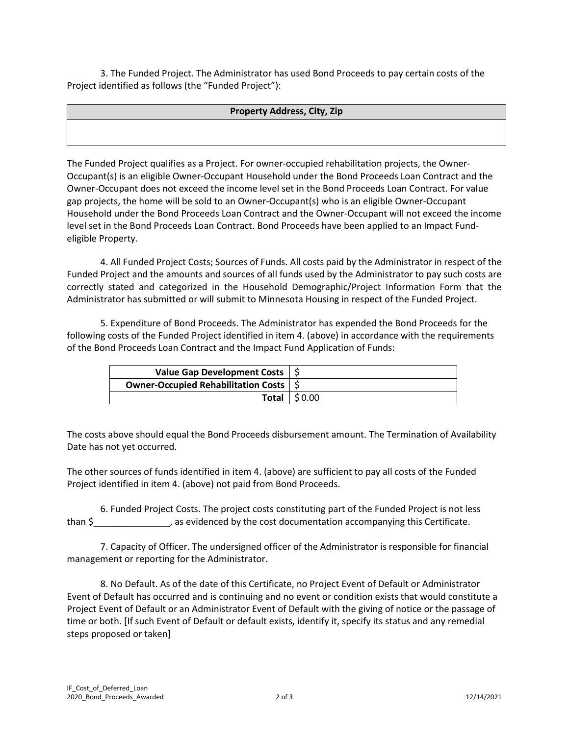3. The Funded Project. The Administrator has used Bond Proceeds to pay certain costs of the Project identified as follows (the "Funded Project"):

## **Property Address, City, Zip**

The Funded Project qualifies as a Project. For owner-occupied rehabilitation projects, the Owner-Occupant(s) is an eligible Owner-Occupant Household under the Bond Proceeds Loan Contract and the Owner-Occupant does not exceed the income level set in the Bond Proceeds Loan Contract. For value gap projects, the home will be sold to an Owner-Occupant(s) who is an eligible Owner-Occupant Household under the Bond Proceeds Loan Contract and the Owner-Occupant will not exceed the income level set in the Bond Proceeds Loan Contract. Bond Proceeds have been applied to an Impact Fundeligible Property.

4. All Funded Project Costs; Sources of Funds. All costs paid by the Administrator in respect of the Funded Project and the amounts and sources of all funds used by the Administrator to pay such costs are correctly stated and categorized in the Household Demographic/Project Information Form that the Administrator has submitted or will submit to Minnesota Housing in respect of the Funded Project.

5. Expenditure of Bond Proceeds. The Administrator has expended the Bond Proceeds for the following costs of the Funded Project identified in item 4. (above) in accordance with the requirements of the Bond Proceeds Loan Contract and the Impact Fund Application of Funds:

| Value Gap Development Costs   \$             |                  |
|----------------------------------------------|------------------|
| <b>Owner-Occupied Rehabilitation Costs</b> 5 |                  |
|                                              | Total $ $ \$0.00 |

The costs above should equal the Bond Proceeds disbursement amount. The Termination of Availability Date has not yet occurred.

The other sources of funds identified in item 4. (above) are sufficient to pay all costs of the Funded Project identified in item 4. (above) not paid from Bond Proceeds.

6. Funded Project Costs. The project costs constituting part of the Funded Project is not less than \$  $\sim$  , as evidenced by the cost documentation accompanying this Certificate.

7. Capacity of Officer. The undersigned officer of the Administrator is responsible for financial management or reporting for the Administrator.

8. No Default. As of the date of this Certificate, no Project Event of Default or Administrator Event of Default has occurred and is continuing and no event or condition exists that would constitute a Project Event of Default or an Administrator Event of Default with the giving of notice or the passage of time or both. [If such Event of Default or default exists, identify it, specify its status and any remedial steps proposed or taken]